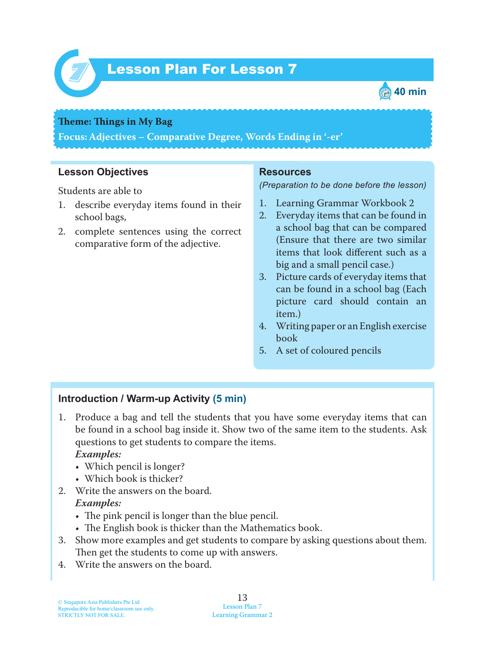

# Lesson Plan For Lesson 7 *7*



#### **Theme: Things in My Bag**

**Focus: Adjectives – Comparative Degree, Words Ending in '-er'**

### **Lesson Objectives**

Students are able to

- 1. describe everyday items found in their school bags,
- 2. complete sentences using the correct comparative form of the adjective.

#### **Resources**

*(Preparation to be done before the lesson)*

- 1. Learning Grammar Workbook 2
- 2. Everyday items that can be found in a school bag that can be compared (Ensure that there are two similar items that look different such as a big and a small pencil case.)
- 3. Picture cards of everyday items that can be found in a school bag (Each picture card should contain an item.)
- 4. Writing paper or an English exercise book
- 5. A set of coloured pencils

## **Introduction / Warm-up Activity (5 min)**

1. Produce a bag and tell the students that you have some everyday items that can be found in a school bag inside it. Show two of the same item to the students. Ask questions to get students to compare the items.

#### *Examples:*

- Which pencil is longer?
- Which book is thicker?
- 2. Write the answers on the board.

#### *Examples:*

- $\cdot$  The pink pencil is longer than the blue pencil.
- The English book is thicker than the Mathematics book.
- 3. Show more examples and get students to compare by asking questions about them. Then get the students to come up with answers.
- 4. Write the answers on the board.